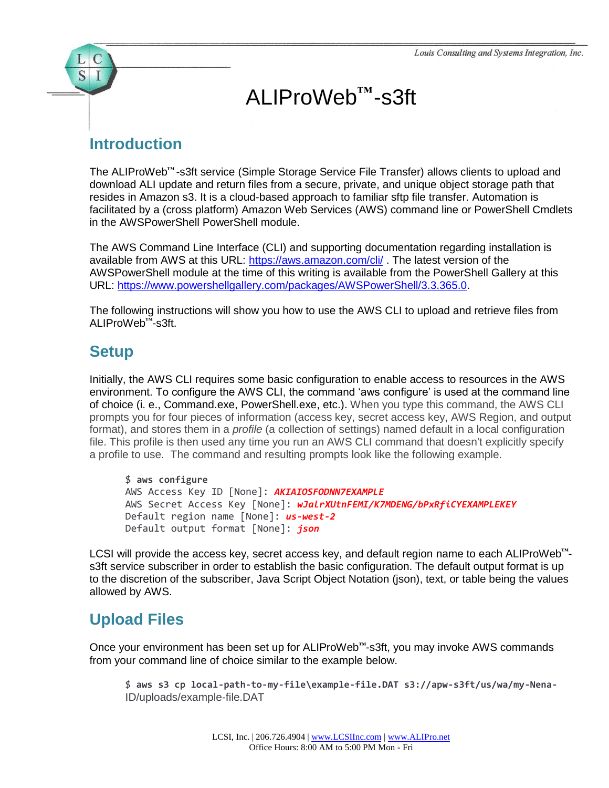# ALIProWeb**™**-s3ft

## **Introduction**

The ALIProWeb™-s3ft service (Simple Storage Service File Transfer) allows clients to upload and download ALI update and return files from a secure, private, and unique object storage path that resides in Amazon s3. It is a cloud-based approach to familiar sftp file transfer. Automation is facilitated by a (cross platform) Amazon Web Services (AWS) command line or PowerShell Cmdlets in the AWSPowerShell PowerShell module.

The AWS Command Line Interface (CLI) and supporting documentation regarding installation is available from AWS at this URL:<https://aws.amazon.com/cli/> . The latest version of the AWSPowerShell module at the time of this writing is available from the PowerShell Gallery at this URL: [https://www.powershellgallery.com/packages/AWSPowerShell/3.3.365.0.](https://www.powershellgallery.com/packages/AWSPowerShell/3.3.365.0)

The following instructions will show you how to use the AWS CLI to upload and retrieve files from ALIProWeb**™**-s3ft.

#### **Setup**

Initially, the AWS CLI requires some basic configuration to enable access to resources in the AWS environment. To configure the AWS CLI, the command 'aws configure' is used at the command line of choice (i. e., Command.exe, PowerShell.exe, etc.). When you type this command, the AWS CLI prompts you for four pieces of information (access key, secret access key, AWS Region, and output format), and stores them in a *profile* (a collection of settings) named default in a local configuration file. This profile is then used any time you run an AWS CLI command that doesn't explicitly specify a profile to use. The command and resulting prompts look like the following example.

\$ **aws configure** AWS Access Key ID [None]: *AKIAIOSFODNN7EXAMPLE* AWS Secret Access Key [None]: *wJalrXUtnFEMI/K7MDENG/bPxRfiCYEXAMPLEKEY* Default region name [None]: *us-west-2* Default output format [None]: *json*

LCSI will provide the access key, secret access key, and default region name to each ALIProWeb**™** s3ft service subscriber in order to establish the basic configuration. The default output format is up to the discretion of the subscriber, Java Script Object Notation (json), text, or table being the values allowed by AWS.

# **Upload Files**

Once your environment has been set up for ALIProWeb**™**-s3ft, you may invoke AWS commands from your command line of choice similar to the example below.

```
$ aws s3 cp local-path-to-my-file\example-file.DAT s3://apw-s3ft/us/wa/my-Nena-
ID/uploads/example-file.DAT
```